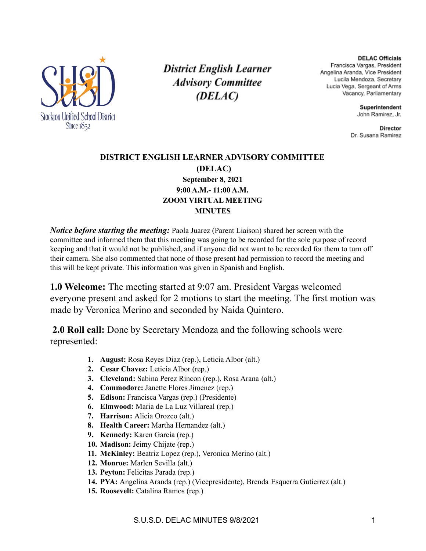

**District English Learner Advisory Committee** (DELAC)

**DELAC Officials** Francisca Vargas, President Angelina Aranda, Vice President Lucila Mendoza, Secretary Lucia Vega, Sergeant of Arms Vacancy, Parliamentary

> Superintendent John Ramirez, Jr.

**Director** Dr. Susana Ramirez

#### **DISTRICT ENGLISH LEARNER ADVISORY COMMITTEE (DELAC) September 8, 2021 9:00 A.M.- 11:00 A.M. ZOOM VIRTUAL MEETING MINUTES**

*Notice before starting the meeting:* Paola Juarez (Parent Liaison) shared her screen with the committee and informed them that this meeting was going to be recorded for the sole purpose of record keeping and that it would not be published, and if anyone did not want to be recorded for them to turn off their camera. She also commented that none of those present had permission to record the meeting and this will be kept private. This information was given in Spanish and English.

**1.0 Welcome:** The meeting started at 9:07 am. President Vargas welcomed everyone present and asked for 2 motions to start the meeting. The first motion was made by Veronica Merino and seconded by Naida Quintero.

**2.0 Roll call:** Done by Secretary Mendoza and the following schools were represented:

- **1. August:** Rosa Reyes Diaz (rep.), Leticia Albor (alt.)
- **2. Cesar Chavez:** Leticia Albor (rep.)
- **3. Cleveland:** Sabina Perez Rincon (rep.), Rosa Arana (alt.)
- **4. Commodore:** Janette Flores Jimenez (rep.)
- **5. Edison:** Francisca Vargas (rep.) (Presidente)
- **6. Elmwood:** Maria de La Luz Villareal (rep.)
- **7. Harrison:** Alicia Orozco (alt.)
- **8. Health Career:** Martha Hernandez (alt.)
- **9. Kennedy:** Karen Garcia (rep.)
- **10. Madison:** Jeimy Chijate (rep.)
- **11. McKinley:** Beatriz Lopez (rep.), Veronica Merino (alt.)
- **12. Monroe:** Marlen Sevilla (alt.)
- **13. Peyton:** Felicitas Parada (rep.)
- **14. PYA:** Angelina Aranda (rep.) (Vicepresidente), Brenda Esquerra Gutierrez (alt.)
- **15. Roosevelt:** Catalina Ramos (rep.)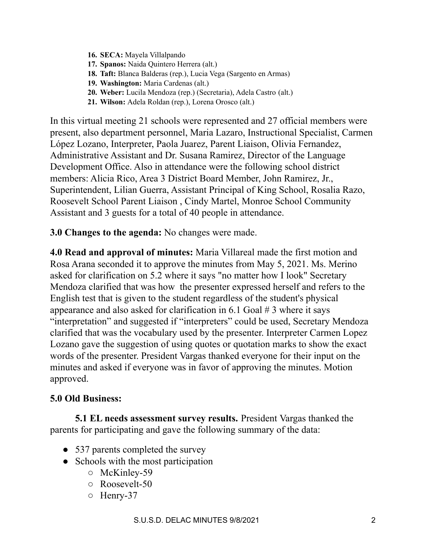- **16. SECA:** Mayela Villalpando
- **17. Spanos:** Naida Quintero Herrera (alt.)
- **18. Taft:** Blanca Balderas (rep.), Lucia Vega (Sargento en Armas)
- **19. Washington:** Maria Cardenas (alt.)
- **20. Weber:** Lucila Mendoza (rep.) (Secretaria), Adela Castro (alt.)
- **21. Wilson:** Adela Roldan (rep.), Lorena Orosco (alt.)

In this virtual meeting 21 schools were represented and 27 official members were present, also department personnel, Maria Lazaro, Instructional Specialist, Carmen López Lozano, Interpreter, Paola Juarez, Parent Liaison, Olivia Fernandez, Administrative Assistant and Dr. Susana Ramirez, Director of the Language Development Office. Also in attendance were the following school district members: Alicia Rico, Area 3 District Board Member, John Ramirez, Jr., Superintendent, Lilian Guerra, Assistant Principal of King School, Rosalia Razo, Roosevelt School Parent Liaison , Cindy Martel, Monroe School Community Assistant and 3 guests for a total of 40 people in attendance.

### **3.0 Changes to the agenda:** No changes were made.

**4.0 Read and approval of minutes:** Maria Villareal made the first motion and Rosa Arana seconded it to approve the minutes from May 5, 2021. Ms. Merino asked for clarification on 5.2 where it says "no matter how I look" Secretary Mendoza clarified that was how the presenter expressed herself and refers to the English test that is given to the student regardless of the student's physical appearance and also asked for clarification in 6.1 Goal  $# 3$  where it says "interpretation" and suggested if "interpreters" could be used, Secretary Mendoza clarified that was the vocabulary used by the presenter. Interpreter Carmen Lopez Lozano gave the suggestion of using quotes or quotation marks to show the exact words of the presenter. President Vargas thanked everyone for their input on the minutes and asked if everyone was in favor of approving the minutes. Motion approved.

### **5.0 Old Business:**

**5.1 EL needs assessment survey results.** President Vargas thanked the parents for participating and gave the following summary of the data:

- 537 parents completed the survey
- Schools with the most participation
	- McKinley-59
	- Roosevelt-50
	- Henry-37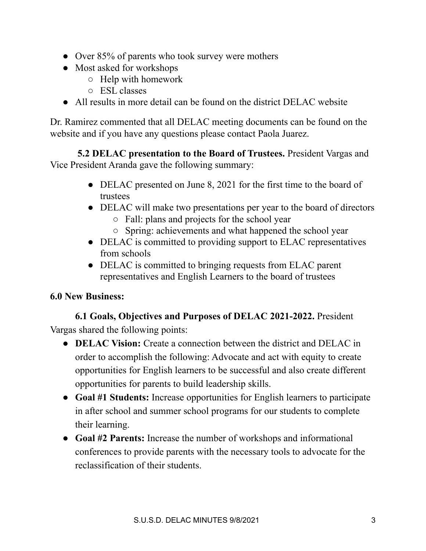- Over 85% of parents who took survey were mothers
- Most asked for workshops
	- Help with homework
	- ESL classes
- All results in more detail can be found on the district DELAC website

Dr. Ramirez commented that all DELAC meeting documents can be found on the website and if you have any questions please contact Paola Juarez.

**5.2 DELAC presentation to the Board of Trustees.** President Vargas and Vice President Aranda gave the following summary:

- DELAC presented on June 8, 2021 for the first time to the board of trustees
- DELAC will make two presentations per year to the board of directors
	- Fall: plans and projects for the school year
	- Spring: achievements and what happened the school year
- DELAC is committed to providing support to ELAC representatives from schools
- DELAC is committed to bringing requests from ELAC parent representatives and English Learners to the board of trustees

# **6.0 New Business:**

**6.1 Goals, Objectives and Purposes of DELAC 2021-2022.** President Vargas shared the following points:

- **DELAC Vision:** Create a connection between the district and DELAC in order to accomplish the following: Advocate and act with equity to create opportunities for English learners to be successful and also create different opportunities for parents to build leadership skills.
- **Goal #1 Students:** Increase opportunities for English learners to participate in after school and summer school programs for our students to complete their learning.
- **Goal #2 Parents:** Increase the number of workshops and informational conferences to provide parents with the necessary tools to advocate for the reclassification of their students.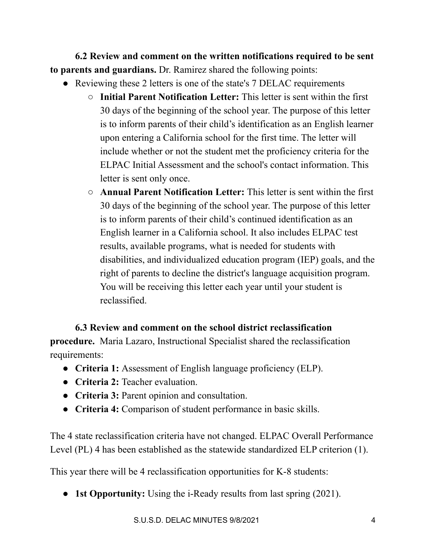**6.2 Review and comment on the written notifications required to be sent to parents and guardians.** Dr. Ramirez shared the following points:

- Reviewing these 2 letters is one of the state's 7 DELAC requirements
	- **Initial Parent Notification Letter:** This letter is sent within the first 30 days of the beginning of the school year. The purpose of this letter is to inform parents of their child's identification as an English learner upon entering a California school for the first time. The letter will include whether or not the student met the proficiency criteria for the ELPAC Initial Assessment and the school's contact information. This letter is sent only once.
	- **Annual Parent Notification Letter:** This letter is sent within the first 30 days of the beginning of the school year. The purpose of this letter is to inform parents of their child's continued identification as an English learner in a California school. It also includes ELPAC test results, available programs, what is needed for students with disabilities, and individualized education program (IEP) goals, and the right of parents to decline the district's language acquisition program. You will be receiving this letter each year until your student is reclassified.

# **6.3 Review and comment on the school district reclassification**

**procedure.** Maria Lazaro, Instructional Specialist shared the reclassification requirements:

- **Criteria 1:** Assessment of English language proficiency (ELP).
- **Criteria 2:** Teacher evaluation.
- **Criteria 3:** Parent opinion and consultation.
- **Criteria 4:** Comparison of student performance in basic skills.

The 4 state reclassification criteria have not changed. ELPAC Overall Performance Level (PL) 4 has been established as the statewide standardized ELP criterion (1).

This year there will be 4 reclassification opportunities for K-8 students:

● **1st Opportunity:** Using the i-Ready results from last spring (2021).